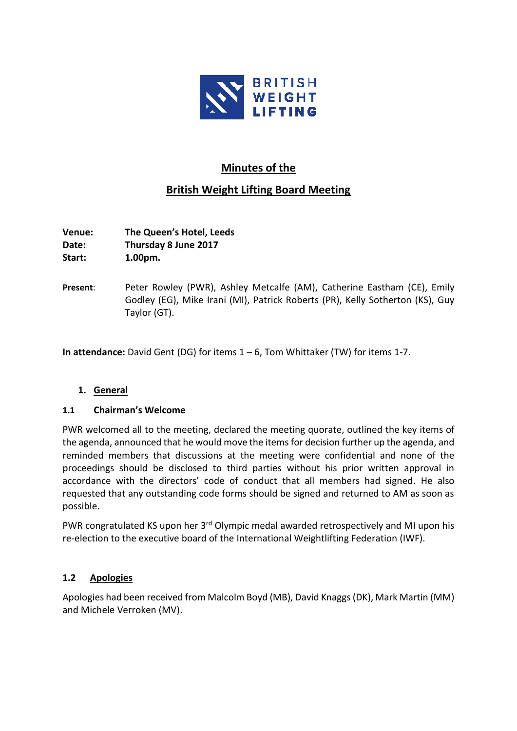

# **Minutes of the**

# **British Weight Lifting Board Meeting**

**Venue: The Queen's Hotel, Leeds Date: Thursday 8 June 2017 Start: 1.00pm.**

**Present**: Peter Rowley (PWR), Ashley Metcalfe (AM), Catherine Eastham (CE), Emily Godley (EG), Mike Irani (MI), Patrick Roberts (PR), Kelly Sotherton (KS), Guy Taylor (GT).

**In attendance:** David Gent (DG) for items 1 – 6, Tom Whittaker (TW) for items 1-7.

# **1. General**

# **1.1 Chairman's Welcome**

PWR welcomed all to the meeting, declared the meeting quorate, outlined the key items of the agenda, announced that he would move the items for decision further up the agenda, and reminded members that discussions at the meeting were confidential and none of the proceedings should be disclosed to third parties without his prior written approval in accordance with the directors' code of conduct that all members had signed. He also requested that any outstanding code forms should be signed and returned to AM as soon as possible.

PWR congratulated KS upon her 3<sup>rd</sup> Olympic medal awarded retrospectively and MI upon his re-election to the executive board of the International Weightlifting Federation (IWF).

# **1.2 Apologies**

Apologies had been received from Malcolm Boyd (MB), David Knaggs(DK), Mark Martin (MM) and Michele Verroken (MV).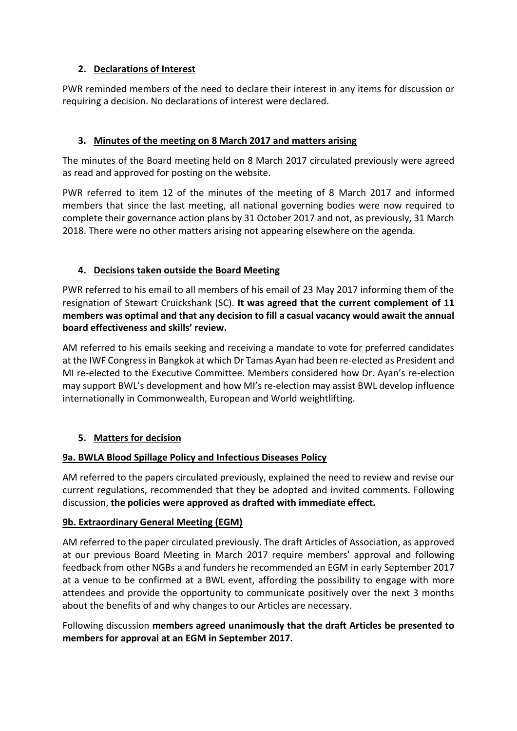# **2. Declarations of Interest**

PWR reminded members of the need to declare their interest in any items for discussion or requiring a decision. No declarations of interest were declared.

# **3. Minutes of the meeting on 8 March 2017 and matters arising**

The minutes of the Board meeting held on 8 March 2017 circulated previously were agreed as read and approved for posting on the website.

PWR referred to item 12 of the minutes of the meeting of 8 March 2017 and informed members that since the last meeting, all national governing bodies were now required to complete their governance action plans by 31 October 2017 and not, as previously, 31 March 2018. There were no other matters arising not appearing elsewhere on the agenda.

# **4. Decisions taken outside the Board Meeting**

PWR referred to his email to all members of his email of 23 May 2017 informing them of the resignation of Stewart Cruickshank (SC). **It was agreed that the current complement of 11 members was optimal and that any decision to fill a casual vacancy would await the annual board effectiveness and skills' review.**

AM referred to his emails seeking and receiving a mandate to vote for preferred candidates at the IWF Congress in Bangkok at which Dr Tamas Ayan had been re-elected as President and MI re-elected to the Executive Committee. Members considered how Dr. Ayan's re-election may support BWL's development and how MI's re-election may assist BWL develop influence internationally in Commonwealth, European and World weightlifting.

# **5. Matters for decision**

# **9a. BWLA Blood Spillage Policy and Infectious Diseases Policy**

AM referred to the papers circulated previously, explained the need to review and revise our current regulations, recommended that they be adopted and invited comments. Following discussion, **the policies were approved as drafted with immediate effect.**

# **9b. Extraordinary General Meeting (EGM)**

AM referred to the paper circulated previously. The draft Articles of Association, as approved at our previous Board Meeting in March 2017 require members' approval and following feedback from other NGBs a and funders he recommended an EGM in early September 2017 at a venue to be confirmed at a BWL event, affording the possibility to engage with more attendees and provide the opportunity to communicate positively over the next 3 months about the benefits of and why changes to our Articles are necessary.

Following discussion **members agreed unanimously that the draft Articles be presented to members for approval at an EGM in September 2017.**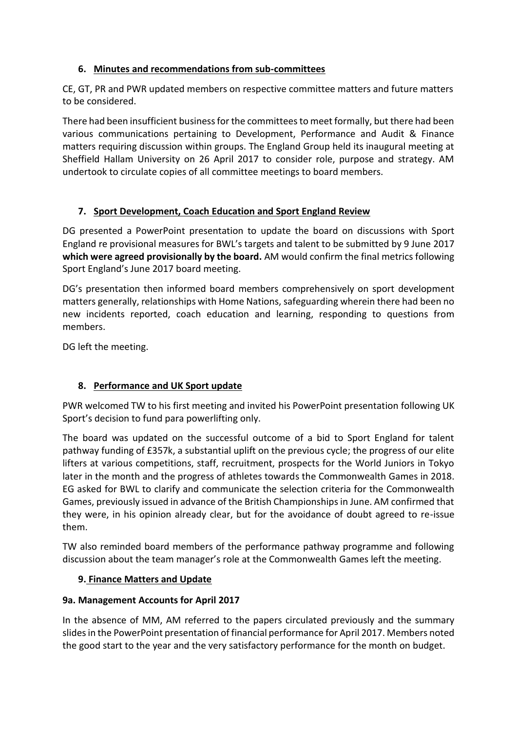# **6. Minutes and recommendations from sub-committees**

CE, GT, PR and PWR updated members on respective committee matters and future matters to be considered.

There had been insufficient business for the committees to meet formally, but there had been various communications pertaining to Development, Performance and Audit & Finance matters requiring discussion within groups. The England Group held its inaugural meeting at Sheffield Hallam University on 26 April 2017 to consider role, purpose and strategy. AM undertook to circulate copies of all committee meetings to board members.

# **7. Sport Development, Coach Education and Sport England Review**

DG presented a PowerPoint presentation to update the board on discussions with Sport England re provisional measures for BWL's targets and talent to be submitted by 9 June 2017 **which were agreed provisionally by the board.** AM would confirm the final metrics following Sport England's June 2017 board meeting.

DG's presentation then informed board members comprehensively on sport development matters generally, relationships with Home Nations, safeguarding wherein there had been no new incidents reported, coach education and learning, responding to questions from members.

DG left the meeting.

# **8. Performance and UK Sport update**

PWR welcomed TW to his first meeting and invited his PowerPoint presentation following UK Sport's decision to fund para powerlifting only.

The board was updated on the successful outcome of a bid to Sport England for talent pathway funding of £357k, a substantial uplift on the previous cycle; the progress of our elite lifters at various competitions, staff, recruitment, prospects for the World Juniors in Tokyo later in the month and the progress of athletes towards the Commonwealth Games in 2018. EG asked for BWL to clarify and communicate the selection criteria for the Commonwealth Games, previously issued in advance of the British Championships in June. AM confirmed that they were, in his opinion already clear, but for the avoidance of doubt agreed to re-issue them.

TW also reminded board members of the performance pathway programme and following discussion about the team manager's role at the Commonwealth Games left the meeting.

# **9. Finance Matters and Update**

# **9a. Management Accounts for April 2017**

In the absence of MM, AM referred to the papers circulated previously and the summary slides in the PowerPoint presentation of financial performance for April 2017. Members noted the good start to the year and the very satisfactory performance for the month on budget.